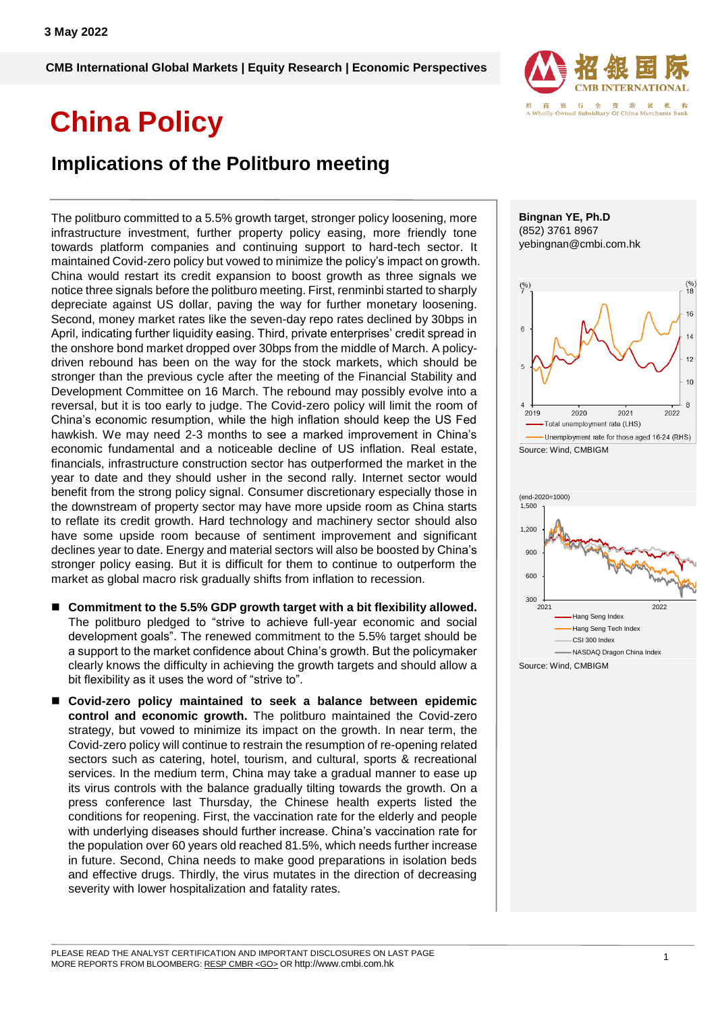**CMB International Global Markets | Equity Research | Economic Perspectives**

# **China Policy**

### **Implications of the Politburo meeting**

The politburo committed to a 5.5% growth target, stronger policy loosening, more infrastructure investment, further property policy easing, more friendly tone towards platform companies and continuing support to hard-tech sector. It maintained Covid-zero policy but vowed to minimize the policy's impact on growth. China would restart its credit expansion to boost growth as three signals we notice three signals before the politburo meeting. First, renminbi started to sharply depreciate against US dollar, paving the way for further monetary loosening. Second, money market rates like the seven-day repo rates declined by 30bps in April, indicating further liquidity easing. Third, private enterprises' credit spread in the onshore bond market dropped over 30bps from the middle of March. A policydriven rebound has been on the way for the stock markets, which should be stronger than the previous cycle after the meeting of the Financial Stability and Development Committee on 16 March. The rebound may possibly evolve into a reversal, but it is too early to judge. The Covid-zero policy will limit the room of China's economic resumption, while the high inflation should keep the US Fed hawkish. We may need 2-3 months to see a marked improvement in China's economic fundamental and a noticeable decline of US inflation. Real estate, financials, infrastructure construction sector has outperformed the market in the year to date and they should usher in the second rally. Internet sector would benefit from the strong policy signal. Consumer discretionary especially those in the downstream of property sector may have more upside room as China starts to reflate its credit growth. Hard technology and machinery sector should also have some upside room because of sentiment improvement and significant declines year to date. Energy and material sectors will also be boosted by China's stronger policy easing. But it is difficult for them to continue to outperform the market as global macro risk gradually shifts from inflation to recession.

- Commitment to the 5.5% GDP growth target with a bit flexibility allowed. The politburo pledged to "strive to achieve full-year economic and social development goals". The renewed commitment to the 5.5% target should be a support to the market confidence about China's growth. But the policymaker clearly knows the difficulty in achieving the growth targets and should allow a bit flexibility as it uses the word of "strive to".
- **Covid-zero policy maintained to seek a balance between epidemic control and economic growth.** The politburo maintained the Covid-zero strategy, but vowed to minimize its impact on the growth. In near term, the Covid-zero policy will continue to restrain the resumption of re-opening related sectors such as catering, hotel, tourism, and cultural, sports & recreational services. In the medium term, China may take a gradual manner to ease up its virus controls with the balance gradually tilting towards the growth. On a press conference last Thursday, the Chinese health experts listed the conditions for reopening. First, the vaccination rate for the elderly and people with underlying diseases should further increase. China's vaccination rate for the population over 60 years old reached 81.5%, which needs further increase in future. Second, China needs to make good preparations in isolation beds and effective drugs. Thirdly, the virus mutates in the direction of decreasing severity with lower hospitalization and fatality rates.



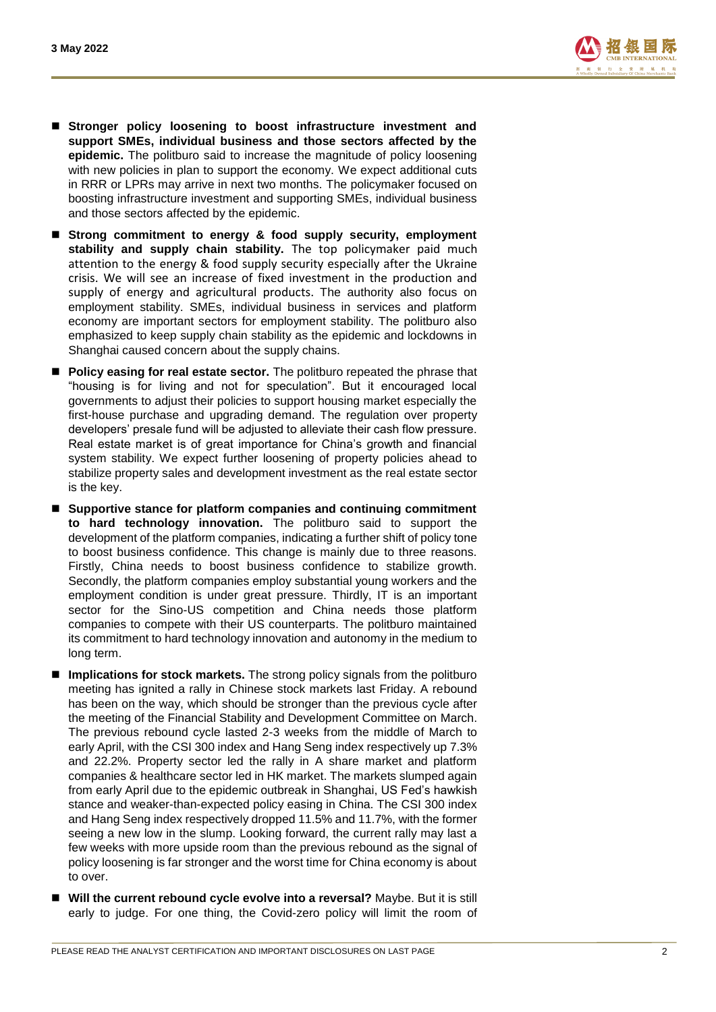

- **E** Stronger policy loosening to boost infrastructure investment and **support SMEs, individual business and those sectors affected by the epidemic.** The politburo said to increase the magnitude of policy loosening with new policies in plan to support the economy. We expect additional cuts in RRR or LPRs may arrive in next two months. The policymaker focused on boosting infrastructure investment and supporting SMEs, individual business and those sectors affected by the epidemic.
- **Strong commitment to energy & food supply security, employment**  stability and supply chain stability. The top policymaker paid much attention to the energy & food supply security especially after the Ukraine crisis. We will see an increase of fixed investment in the production and supply of energy and agricultural products. The authority also focus on employment stability. SMEs, individual business in services and platform economy are important sectors for employment stability. The politburo also emphasized to keep supply chain stability as the epidemic and lockdowns in Shanghai caused concern about the supply chains.
- **Policy easing for real estate sector.** The politburo repeated the phrase that "housing is for living and not for speculation". But it encouraged local governments to adjust their policies to support housing market especially the first-house purchase and upgrading demand. The regulation over property developers' presale fund will be adjusted to alleviate their cash flow pressure. Real estate market is of great importance for China's growth and financial system stability. We expect further loosening of property policies ahead to stabilize property sales and development investment as the real estate sector is the key.
- **Supportive stance for platform companies and continuing commitment to hard technology innovation.** The politburo said to support the development of the platform companies, indicating a further shift of policy tone to boost business confidence. This change is mainly due to three reasons. Firstly, China needs to boost business confidence to stabilize growth. Secondly, the platform companies employ substantial young workers and the employment condition is under great pressure. Thirdly, IT is an important sector for the Sino-US competition and China needs those platform companies to compete with their US counterparts. The politburo maintained its commitment to hard technology innovation and autonomy in the medium to long term.
- **Implications for stock markets.** The strong policy signals from the politburo meeting has ignited a rally in Chinese stock markets last Friday. A rebound has been on the way, which should be stronger than the previous cycle after the meeting of the Financial Stability and Development Committee on March. The previous rebound cycle lasted 2-3 weeks from the middle of March to early April, with the CSI 300 index and Hang Seng index respectively up 7.3% and 22.2%. Property sector led the rally in A share market and platform companies & healthcare sector led in HK market. The markets slumped again from early April due to the epidemic outbreak in Shanghai, US Fed's hawkish stance and weaker-than-expected policy easing in China. The CSI 300 index and Hang Seng index respectively dropped 11.5% and 11.7%, with the former seeing a new low in the slump. Looking forward, the current rally may last a few weeks with more upside room than the previous rebound as the signal of policy loosening is far stronger and the worst time for China economy is about to over.
- **Will the current rebound cycle evolve into a reversal?** Maybe. But it is still early to judge. For one thing, the Covid-zero policy will limit the room of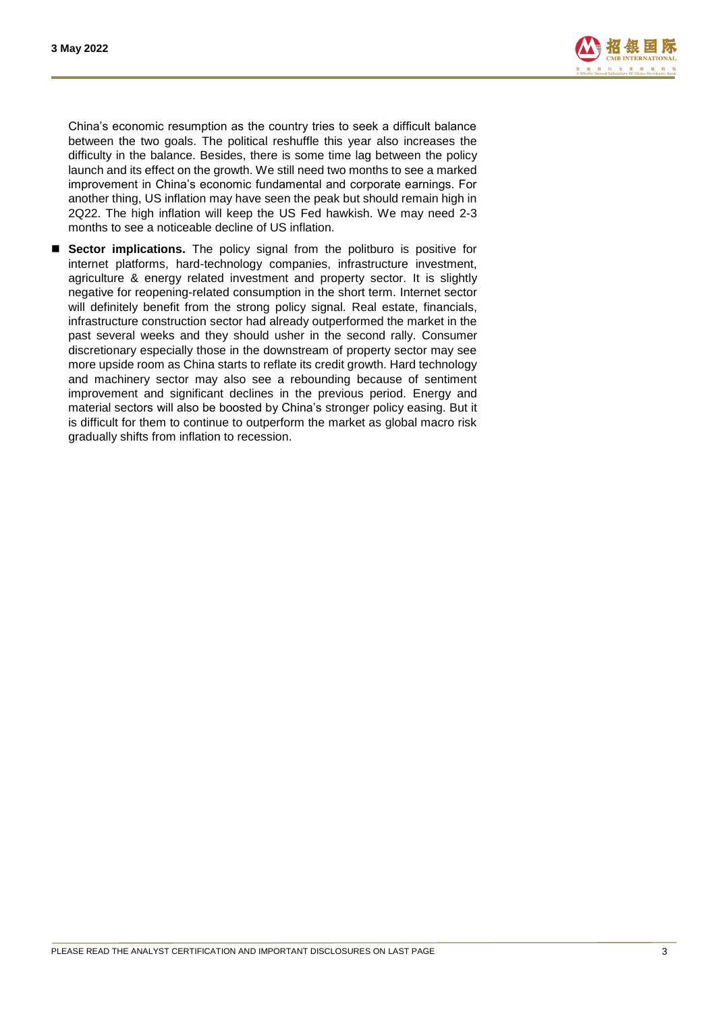

China's economic resumption as the country tries to seek a difficult balance between the two goals. The political reshuffle this year also increases the difficulty in the balance. Besides, there is some time lag between the policy launch and its effect on the growth. We still need two months to see a marked improvement in China's economic fundamental and corporate earnings. For another thing, US inflation may have seen the peak but should remain high in 2Q22. The high inflation will keep the US Fed hawkish. We may need 2-3 months to see a noticeable decline of US inflation.

 **Sector implications.** The policy signal from the politburo is positive for internet platforms, hard-technology companies, infrastructure investment, agriculture & energy related investment and property sector. It is slightly negative for reopening-related consumption in the short term. Internet sector will definitely benefit from the strong policy signal. Real estate, financials, infrastructure construction sector had already outperformed the market in the past several weeks and they should usher in the second rally. Consumer discretionary especially those in the downstream of property sector may see more upside room as China starts to reflate its credit growth. Hard technology and machinery sector may also see a rebounding because of sentiment improvement and significant declines in the previous period. Energy and material sectors will also be boosted by China's stronger policy easing. But it is difficult for them to continue to outperform the market as global macro risk gradually shifts from inflation to recession.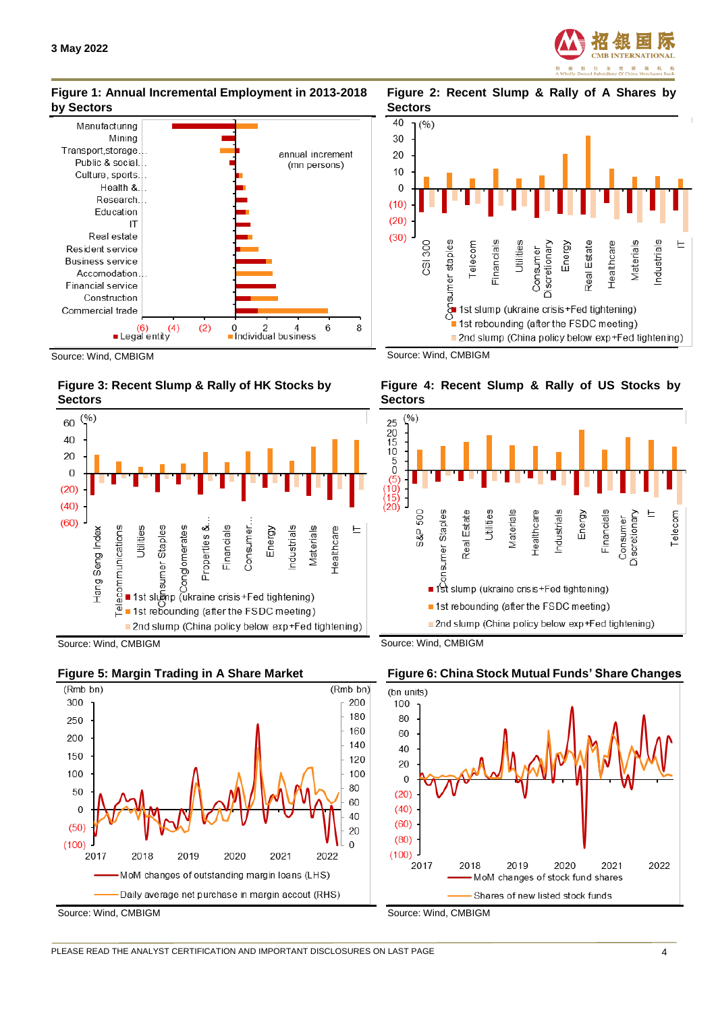

Estate

Real

Materials ndustrials

Healthcare

Energy

■ 2nd slump (China policy below exp+Fed tightening)

Discretionary

1st slump (ukraine crisis+Fed tightening)

1st rebounding (after the FSDC meeting)

Consumer

#### **Figure 1: Annual Incremental Employment in 2013-2018 by Sectors**

**Figure 2: Recent Slump & Rally of A Shares by Sectors** 



Source: Wind, CMBIGM





Source: Wind, CMBIGM







Source: Wind, CMBIGM

Source: Wind, CMBIGM



**Figure 4: Recent Slump & Rally of US Stocks by** 

Utilities

Financials Telecom

Source: Wind, CMBIGM

Consumer staples

**Sectors**

40

30

20

10

 $\Omega$ 

 $(10)$ 

 $(20)$ 

 $(30)$ 

 $(9)$ 

CSI 300

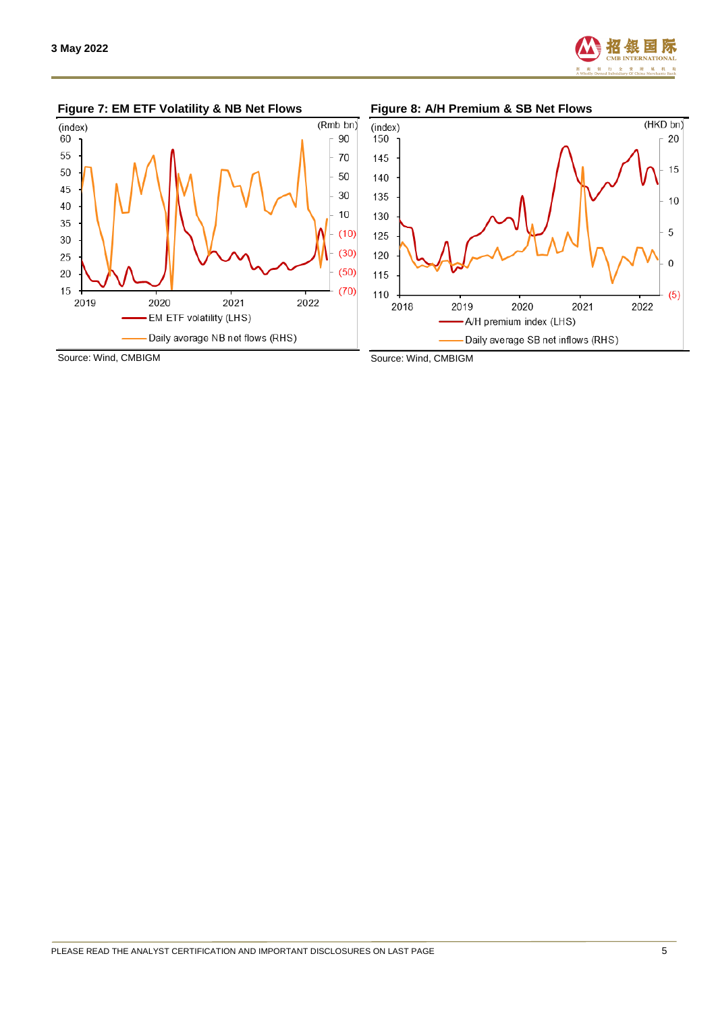